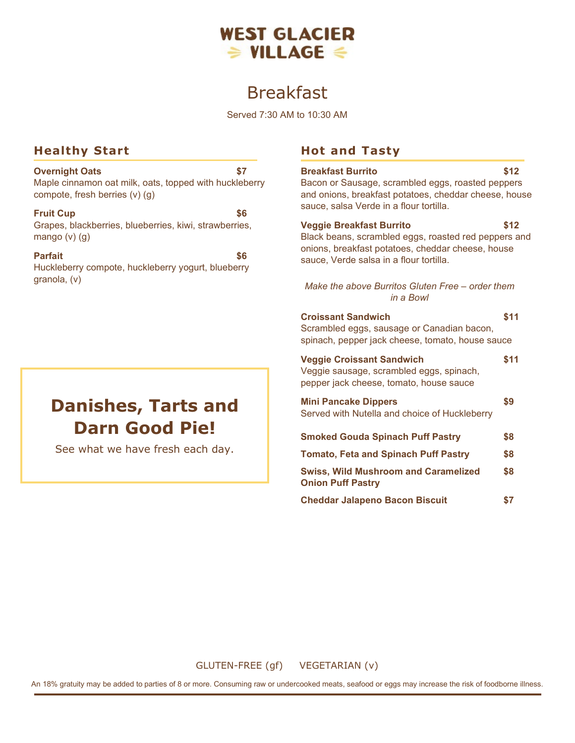

# Breakfast

Served 7:30 AM to 10:30 AM

## **Healthy Start**

**Overnight Oats \$7** Maple cinnamon oat milk, oats, topped with huckleberry compote, fresh berries (v) (g)

#### **Fruit Cup**  $\sim$  \$6

Grapes, blackberries, blueberries, kiwi, strawberries, mango (v) (g)

#### **Parfait \$6**

Huckleberry compote, huckleberry yogurt, blueberry granola, (v)

# **Danishes, Tarts and Darn Good Pie!**

See what we have fresh each day.

# **Hot and Tasty**

| <b>Breakfast Burrito</b><br>Bacon or Sausage, scrambled eggs, roasted peppers<br>and onions, breakfast potatoes, cheddar cheese, house<br>sauce, salsa Verde in a flour tortilla.       | \$12 |
|-----------------------------------------------------------------------------------------------------------------------------------------------------------------------------------------|------|
| <b>Veggie Breakfast Burrito</b><br>Black beans, scrambled eggs, roasted red peppers and<br>onions, breakfast potatoes, cheddar cheese, house<br>sauce, Verde salsa in a flour tortilla. | \$12 |
| Make the above Burritos Gluten Free - order them<br>in a Bowl                                                                                                                           |      |
| <b>Croissant Sandwich</b><br>Scrambled eggs, sausage or Canadian bacon,<br>spinach, pepper jack cheese, tomato, house sauce                                                             | \$11 |
| <b>Veggie Croissant Sandwich</b><br>Veggie sausage, scrambled eggs, spinach,<br>pepper jack cheese, tomato, house sauce                                                                 | \$11 |
| <b>Mini Pancake Dippers</b><br>Served with Nutella and choice of Huckleberry                                                                                                            | \$9  |
| <b>Smoked Gouda Spinach Puff Pastry</b>                                                                                                                                                 | \$8  |
| <b>Tomato, Feta and Spinach Puff Pastry</b>                                                                                                                                             | \$8  |
| <b>Swiss, Wild Mushroom and Caramelized</b><br><b>Onion Puff Pastry</b>                                                                                                                 | \$8  |
| <b>Cheddar Jalapeno Bacon Biscuit</b>                                                                                                                                                   | \$7  |

GLUTEN-FREE (gf) VEGETARIAN (v)

An 18% gratuity may be added to parties of 8 or more. Consuming raw or undercooked meats, seafood or eggs may increase the risk of foodborne illness.